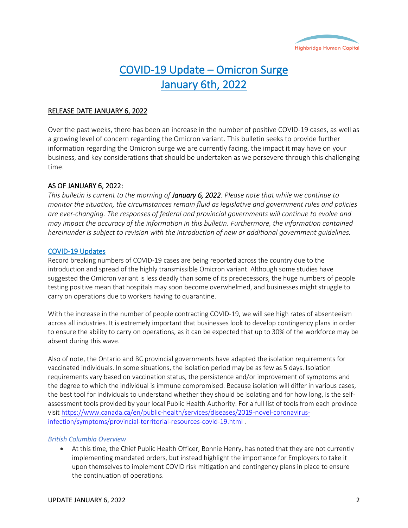

# COVID-19 Update – Omicron Surge January 6th, 2022

# RELEASE DATE JANUARY 6, 2022

Over the past weeks, there has been an increase in the number of positive COVID-19 cases, as well as a growing level of concern regarding the Omicron variant. This bulletin seeks to provide further information regarding the Omicron surge we are currently facing, the impact it may have on your business, and key considerations that should be undertaken as we persevere through this challenging time.

# AS OF JANUARY 6, 2022:

*This bulletin is current to the morning of January 6, 2022. Please note that while we continue to monitor the situation, the circumstances remain fluid as legislative and government rules and policies are ever-changing. The responses of federal and provincial governments will continue to evolve and may impact the accuracy of the information in this bulletin. Furthermore, the information contained hereinunder is subject to revision with the introduction of new or additional government guidelines.*

# COVID-19 Updates

Record breaking numbers of COVID-19 cases are being reported across the country due to the introduction and spread of the highly transmissible Omicron variant. Although some studies have suggested the Omicron variant is less deadly than some of its predecessors, the huge numbers of people testing positive mean that hospitals may soon become overwhelmed, and businesses might struggle to carry on operations due to workers having to quarantine.

With the increase in the number of people contracting COVID-19, we will see high rates of absenteeism across all industries. It is extremely important that businesses look to develop contingency plans in order to ensure the ability to carry on operations, as it can be expected that up to 30% of the workforce may be absent during this wave.

Also of note, the Ontario and BC provincial governments have adapted the isolation requirements for vaccinated individuals. In some situations, the isolation period may be as few as 5 days. Isolation requirements vary based on vaccination status, the persistence and/or improvement of symptoms and the degree to which the individual is immune compromised. Because isolation will differ in various cases, the best tool for individuals to understand whether they should be isolating and for how long, is the selfassessment tools provided by your local Public Health Authority. For a full list of tools from each province visit [https://www.canada.ca/en/public-health/services/diseases/2019-novel-coronavirus](https://www.canada.ca/en/public-health/services/diseases/2019-novel-coronavirus-infection/symptoms/provincial-territorial-resources-covid-19.html)[infection/symptoms/provincial-territorial-resources-covid-19.html](https://www.canada.ca/en/public-health/services/diseases/2019-novel-coronavirus-infection/symptoms/provincial-territorial-resources-covid-19.html) .

# *British Columbia Overview*

• At this time, the Chief Public Health Officer, Bonnie Henry, has noted that they are not currently implementing mandated orders, but instead highlight the importance for Employers to take it upon themselves to implement COVID risk mitigation and contingency plans in place to ensure the continuation of operations.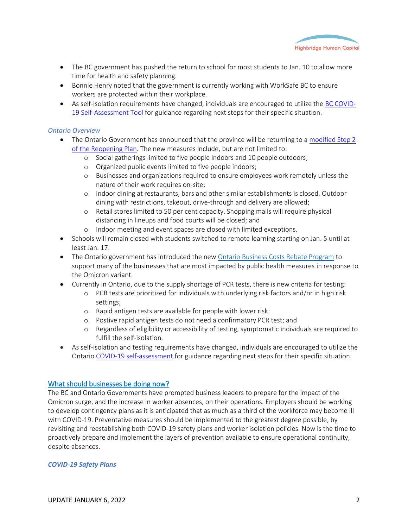

- The BC government has pushed the return to school for most students to Jan. 10 to allow more time for health and safety planning.
- Bonnie Henry noted that the government is currently working with WorkSafe BC to ensure workers are protected within their workplace.
- As self-isolation requirements have changed, individuals are encouraged to utilize the BC [COVID-](https://bc.thrive.health/covid19/en)[19 Self-Assessment Tool](https://bc.thrive.health/covid19/en) for guidance regarding next steps for their specific situation.

#### *Ontario Overview*

- The Ontario Government has announced that the province will be returning to a [modified Step 2](https://news.ontario.ca/en/release/1001394/ontario-temporarily-moving-to-modified-step-two-of-the-roadmap-to-reopen)  [of the Reopening Plan.](https://news.ontario.ca/en/release/1001394/ontario-temporarily-moving-to-modified-step-two-of-the-roadmap-to-reopen) The new measures include, but are not limited to:
	- o Social gatherings limited to five people indoors and 10 people outdoors;
	- o Organized public events limited to five people indoors;
	- o Businesses and organizations required to ensure employees work remotely unless the nature of their work requires on-site;
	- o Indoor dining at restaurants, bars and other similar establishments is closed. Outdoor dining with restrictions, takeout, drive-through and delivery are allowed;
	- o Retail stores limited to 50 per cent capacity. Shopping malls will require physical distancing in lineups and food courts will be closed; and
	- o Indoor meeting and event spaces are closed with limited exceptions.
- Schools will remain closed with students switched to remote learning starting on Jan. 5 until at least Jan. 17.
- The Ontario government has introduced the new [Ontario Business Costs Rebate Program](https://www.ontario.ca/page/businesses-get-help-covid-19-costs) to support many of the businesses that are most impacted by public health measures in response to the Omicron variant.
- Currently in Ontario, due to the supply shortage of PCR tests, there is new criteria for testing:
	- o PCR tests are prioritized for individuals with underlying risk factors and/or in high risk settings;
	- o Rapid antigen tests are available for people with lower risk;
	- o Postive rapid antigen tests do not need a confirmatory PCR test; and
	- o Regardless of eligibility or accessibility of testing, symptomatic individuals are required to fulfill the self-isolation.
- As self-isolation and testing requirements have changed, individuals are encouraged to utilize the Ontario [COVID-19 self-assessment](https://covid-19.ontario.ca/self-assessment/) for guidance regarding next steps for their specific situation.

# What should businesses be doing now?

The BC and Ontario Governments have prompted business leaders to prepare for the impact of the Omicron surge, and the increase in worker absences, on their operations. Employers should be working to develop contingency plans as it is anticipated that as much as a third of the workforce may become ill with COVID-19. Preventative measures should be implemented to the greatest degree possible, by revisiting and reestablishing both COVID-19 safety plans and worker isolation policies. Now is the time to proactively prepare and implement the layers of prevention available to ensure operational continuity, despite absences.

#### *COVID-19 Safety Plans*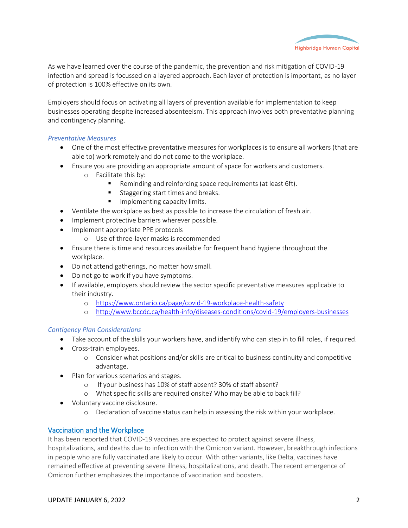

As we have learned over the course of the pandemic, the prevention and risk mitigation of COVID-19 infection and spread is focussed on a layered approach. Each layer of protection is important, as no layer of protection is 100% effective on its own.

Employers should focus on activating all layers of prevention available for implementation to keep businesses operating despite increased absenteeism. This approach involves both preventative planning and contingency planning.

# *Preventative Measures*

- One of the most effective preventative measures for workplaces is to ensure all workers (that are able to) work remotely and do not come to the workplace.
- Ensure you are providing an appropriate amount of space for workers and customers.
	- o Facilitate this by:
		- Reminding and reinforcing space requirements (at least 6ft).
		- Staggering start times and breaks.
		- **■** Implementing capacity limits.
- Ventilate the workplace as best as possible to increase the circulation of fresh air.
- Implement protective barriers wherever possible.
- Implement appropriate PPE protocols
	- o Use of three-layer masks is recommended
- Ensure there is time and resources available for frequent hand hygiene throughout the workplace.
- Do not attend gatherings, no matter how small.
- Do not go to work if you have symptoms.
- If available, employers should review the sector specific preventative measures applicable to their industry.
	- o <https://www.ontario.ca/page/covid-19-workplace-health-safety>
	- o <http://www.bccdc.ca/health-info/diseases-conditions/covid-19/employers-businesses>

# *Contigency Plan Considerations*

- Take account of the skills your workers have, and identify who can step in to fill roles, if required.
- Cross-train employees.
	- o Consider what positions and/or skills are critical to business continuity and competitive advantage.
- Plan for various scenarios and stages.
	- o If your business has 10% of staff absent? 30% of staff absent?
	- o What specific skills are required onsite? Who may be able to back fill?
- Voluntary vaccine disclosure.
	- o Declaration of vaccine status can help in assessing the risk within your workplace.

# Vaccination and the Workplace

It has been reported that COVID-19 vaccines are expected to protect against severe illness, hospitalizations, and deaths due to infection with the Omicron variant. However, breakthrough infections in people who are fully vaccinated are likely to occur. With other variants, like Delta, vaccines have remained effective at preventing severe illness, hospitalizations, and death. The recent emergence of Omicron further emphasizes the importance of vaccination and boosters.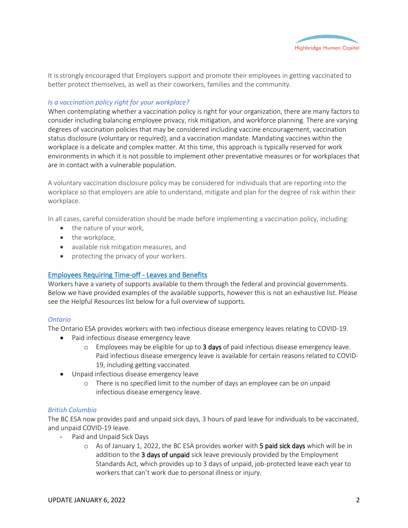

It is strongly encouraged that Employers support and promote their employees in getting vaccinated to better protect themselves, as well as their coworkers, families and the community.

# *Is a vaccination policy right for your workplace?*

When contemplating whether a vaccination policy is right for your organization, there are many factors to consider including balancing employee privacy, risk mitigation, and workforce planning. There are varying degrees of vaccination policies that may be considered including vaccine encouragement, vaccination status disclosure (voluntary or required), and a vaccination mandate. Mandating vaccines within the workplace is a delicate and complex matter. At this time, this approach is typically reserved for work environments in which it is not possible to implement other preventative measures or for workplaces that are in contact with a vulnerable population.

A voluntary vaccination disclosure policy may be considered for individuals that are reporting into the workplace so that employers are able to understand, mitigate and plan for the degree of risk within their workplace.

In all cases, careful consideration should be made before implementing a vaccination policy, including:

- the nature of your work,
- the workplace,
- available risk mitigation measures, and
- protecting the privacy of your workers.

# Employees Requiring Time-off - Leaves and Benefits

Workers have a variety of supports available to them through the federal and provincial governments. Below we have provided examples of the available supports, however this is not an exhaustive list. Please see the Helpful Resources list below for a full overview of supports.

#### *Ontario*

The Ontario ESA provides workers with two infectious disease emergency leaves relating to COVID-19.

- Paid infectious disease emergency leave
	- $\circ$  Employees may be eligible for up to 3 days of paid infectious disease emergency leave. Paid infectious disease emergency leave is available for certain reasons related to COVID-19, including getting vaccinated.
- Unpaid infectious disease emergency leave
	- o There is no specified limit to the number of days an employee can be on unpaid infectious disease emergency leave.

#### *British Columbia*

The BC ESA now provides paid and unpaid sick days, 3 hours of paid leave for individuals to be vaccinated, and unpaid COVID-19 leave.

- Paid and Unpaid Sick Days
	- o As of January 1, 2022, the BC ESA provides worker with 5 paid sick days which will be in addition to the 3 days of unpaid sick leave previously provided by the Employment Standards Act, which provides up to 3 days of unpaid, job-protected leave each year to workers that can't work due to personal illness or injury.